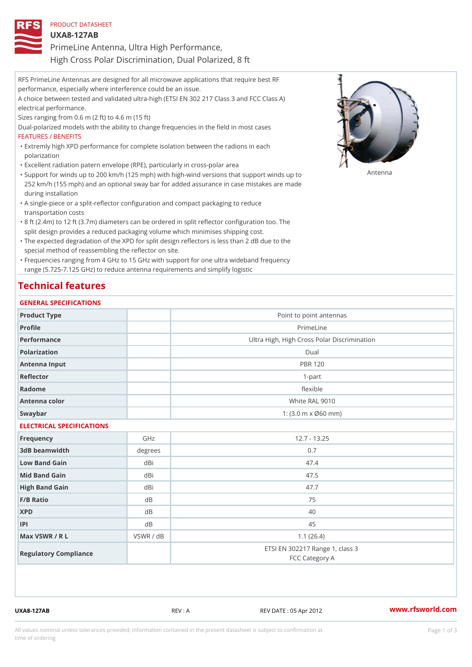| PRODUCT DATASHEET                                     |
|-------------------------------------------------------|
| U X A 8 - 1 2 7 A B                                   |
| PrimeLine Antenna, Ultra High Performance,            |
| High Cross Polar Discrimination, Dual Polarized, 8 ft |

RFS PrimeLine Antennas are designed for all microwave applications that require best RF performance, especially where interference could be an issue. A choice between tested and validated ultra-high (ETSI EN 302 217 Class 3 and FCC Class A) electrical performance. Sizes ranging from 0.6 m (2 ft) to 4.6 m (15 ft) Dual-polarized models with the ability to change frequencies in the field in most cases FEATURES / BENEFITS Extremly high XPD performance for complete isolation between the radions in each " polarization "Excellent radiation patern envelope (RPE), particularly in cross-polar area "Support for winds up to 200 km/h (125 mph) with high-wind versions that support for wands up to 252 km/h (155 mph) and an optional sway bar for added assurance in case mistakes are made during installation

- A single-piece or a split-reflector configuration and compact packaging to reduce " transportation costs
- 8 ft (2.4m) to 12 ft (3.7m) diameters can be ordered in split reflector configuration too. The " split design provides a reduced packaging volume which minimises shipping cost.
- "The expected degradation of the XPD for split design reflectors is less than 2 dB due to the special method of reassembling the reflector on site.

Frequencies ranging from 4 GHz to 15 GHz with support for one ultra wideband frequency " range (5.725-7.125 GHz) to reduce antenna requirements and simplify logistic

## Technical features

### GENERAL SPECIFICATIONS

| Product Type              |                | Point to point antennas                                 |  |  |  |
|---------------------------|----------------|---------------------------------------------------------|--|--|--|
| Profile                   |                | PrimeLine                                               |  |  |  |
| Performance               |                | Ultra High, High Cross Polar Discrimination             |  |  |  |
| Polarization              |                | $D$ ual                                                 |  |  |  |
| Antenna Input             |                | <b>PBR 120</b>                                          |  |  |  |
| Reflector                 |                | $1 - p$ art                                             |  |  |  |
| Radome                    |                | flexible                                                |  |  |  |
| Antenna color             |                | White RAL 9010                                          |  |  |  |
| Swaybar                   |                | 1: $(3.0 \, \text{m} \times \emptyset 60 \, \text{mm})$ |  |  |  |
| ELECTRICAL SPECIFICATIONS |                |                                                         |  |  |  |
| Frequency                 | GHz            | $12.7 - 13.25$                                          |  |  |  |
| 3dB beamwidth             | degrees        | 0.7                                                     |  |  |  |
| Low Band Gain             | dBi            | 47.4                                                    |  |  |  |
| Mid Band Gain             | dBi            | 47.5                                                    |  |  |  |
| High Band Gain            | dBi            | 47.7                                                    |  |  |  |
| F/B Ratio                 | d B            | 75                                                      |  |  |  |
| <b>XPD</b>                | d B            | 40                                                      |  |  |  |
| P                         | d <sub>B</sub> | 45                                                      |  |  |  |
| Max VSWR / R L            | VSWR / dB      | 1.1(26.4)                                               |  |  |  |
| Regulatory Compliance     |                | ETSI EN 302217 Range 1, class 3<br>FCC Category A       |  |  |  |

UXA8-127AB REV : A REV DATE : 05 Apr 2012 [www.](https://www.rfsworld.com)rfsworld.com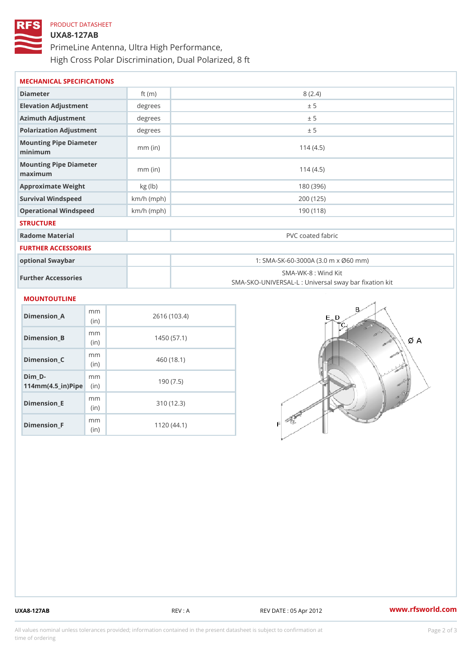# PRODUCT DATASHEET UXA8-127AB PrimeLine Antenna, Ultra High Performance, High Cross Polar Discrimination, Dual Polarized, 8 ft

| MECHANICAL SPECIFICATIONS               |              |                                                                         |  |
|-----------------------------------------|--------------|-------------------------------------------------------------------------|--|
| Diameter                                | ft $(m)$     | 8(2.4)                                                                  |  |
| Elevation Adjustment                    | degree:      | ± 5                                                                     |  |
| Azimuth Adjustment                      | degree:      | ± 5                                                                     |  |
| Polarization Adjustment                 | degrees      | ± 5                                                                     |  |
| Mounting Pipe Diameter<br>minimum       | $mm$ (in)    | 114(4.5)                                                                |  |
| Mounting Pipe Diameter<br>maximum       | $mm$ (in)    | 114(4.5)                                                                |  |
| Approximate Weight                      | kg(lb)       | 180 (396)                                                               |  |
| Survival Windspeed                      | $km/h$ (mph) | 200 (125)                                                               |  |
| Operational Windspeed                   | $km/h$ (mph) | 190 (118)                                                               |  |
| <b>STRUCTURE</b>                        |              |                                                                         |  |
| Radome Material                         |              | PVC coated fabric                                                       |  |
| FURTHER ACCESSORIES                     |              |                                                                         |  |
| optional Swaybar                        |              | 1: SMA-SK-60-3000A (3.0 m x Ø60 mm)                                     |  |
| Further Accessories                     |              | SMA-WK-8: Wind Kit<br>SMA-SKO-UNIVERSAL-L : Universal sway bar fixation |  |
| MOUNTOUTLINE                            |              |                                                                         |  |
| m <sub>m</sub><br>$Dimension_A$<br>(in) |              | 2616 (103.4)                                                            |  |
| m m<br>Dimension B<br>(i n              |              | 1450(57.1)                                                              |  |
| m m<br>Dimonsion C                      |              | $A$ $\cap$ $(101)$                                                      |  |

|                                     | , , , ,                  |            |
|-------------------------------------|--------------------------|------------|
| $Dimension_C$                       | m m<br>(i n)             | 460 (18.1) |
| Dim D-<br>$114mm(4.5_{ir})$ $R^{i}$ | m m                      | 190(7.5)   |
| $Dimension$ _ $E$                   | m m<br>(in               | 310(12.3)  |
| Dimension_F                         | m m<br>(i <sub>n</sub> ) | 1120(44.1) |

UXA8-127AB REV : A REV DATE : 05 Apr 2012 [www.](https://www.rfsworld.com)rfsworld.com